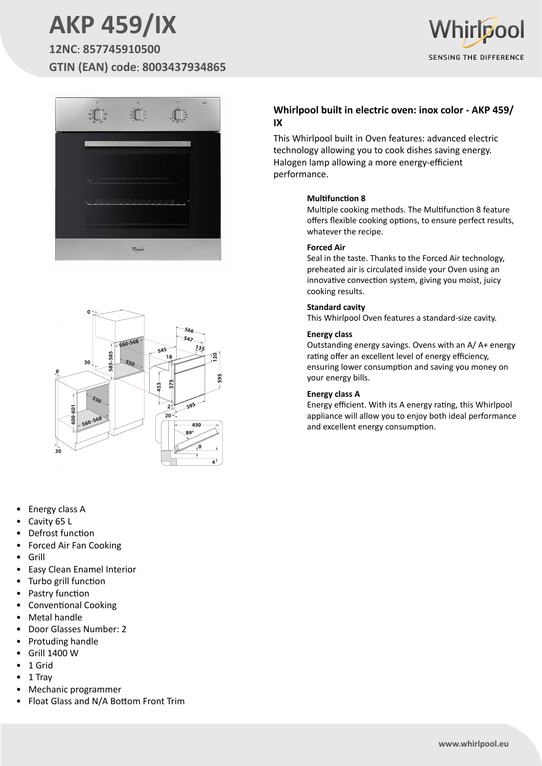# **AKP 459/IX**

**12NC**: **857745910500 GTIN (EAN) code**: **8003437934865**







- Energy class A
- Cavity 65 L
- Defrost function
- Forced Air Fan Cooking
- Grill
- Easy Clean Enamel Interior
- Turbo grill function
- Pastry function
- Conventional Cooking
- Metal handle
- Door Glasses Number: 2
- Protuding handle
- Grill 1400 W
- 1 Grid
- 1 Tray
- Mechanic programmer
- Float Glass and N/A Bottom Front Trim

### **Whirlpool built in electric oven: inox color - AKP 459/ IX**

This Whirlpool built in Oven features: advanced electric technology allowing you to cook dishes saving energy. Halogen lamp allowing a more energy-efficient performance.

#### **Multifunction 8**

Multiple cooking methods. The Multifunction 8 feature offers flexible cooking options, to ensure perfect results, whatever the recipe.

#### **Forced Air**

Seal in the taste. Thanks to the Forced Air technology, preheated air is circulated inside your Oven using an innovative convection system, giving you moist, juicy cooking results.

#### **Standard cavity**

This Whirlpool Oven features a standard-size cavity.

#### **Energy class**

Outstanding energy savings. Ovens with an A/ A+ energy rating offer an excellent level of energy efficiency, ensuring lower consumption and saving you money on your energy bills.

#### **Energy class A**

Energy efficient. With its A energy rating, this Whirlpool appliance will allow you to enjoy both ideal performance and excellent energy consumption.